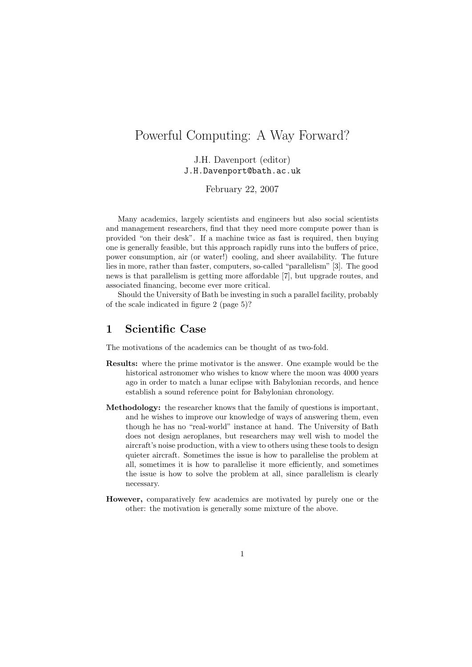# Powerful Computing: A Way Forward?

J.H. Davenport (editor) J.H.Davenport@bath.ac.uk

February 22, 2007

Many academics, largely scientists and engineers but also social scientists and management researchers, find that they need more compute power than is provided "on their desk". If a machine twice as fast is required, then buying one is generally feasible, but this approach rapidly runs into the buffers of price, power consumption, air (or water!) cooling, and sheer availability. The future lies in more, rather than faster, computers, so-called "parallelism" [3]. The good news is that parallelism is getting more affordable [7], but upgrade routes, and associated financing, become ever more critical.

Should the University of Bath be investing in such a parallel facility, probably of the scale indicated in figure 2 (page 5)?

### 1 Scientific Case

The motivations of the academics can be thought of as two-fold.

- Results: where the prime motivator is the answer. One example would be the historical astronomer who wishes to know where the moon was 4000 years ago in order to match a lunar eclipse with Babylonian records, and hence establish a sound reference point for Babylonian chronology.
- Methodology: the researcher knows that the family of questions is important, and he wishes to improve our knowledge of ways of answering them, even though he has no "real-world" instance at hand. The University of Bath does not design aeroplanes, but researchers may well wish to model the aircraft's noise production, with a view to others using these tools to design quieter aircraft. Sometimes the issue is how to parallelise the problem at all, sometimes it is how to parallelise it more efficiently, and sometimes the issue is how to solve the problem at all, since parallelism is clearly necessary.
- However, comparatively few academics are motivated by purely one or the other: the motivation is generally some mixture of the above.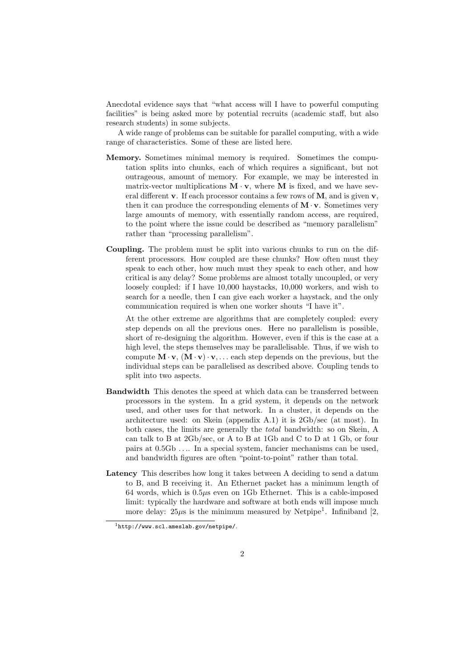Anecdotal evidence says that "what access will I have to powerful computing facilities" is being asked more by potential recruits (academic staff, but also research students) in some subjects.

A wide range of problems can be suitable for parallel computing, with a wide range of characteristics. Some of these are listed here.

- Memory. Sometimes minimal memory is required. Sometimes the computation splits into chunks, each of which requires a significant, but not outrageous, amount of memory. For example, we may be interested in matrix-vector multiplications  $M \cdot v$ , where M is fixed, and we have several different  $\bf{v}$ . If each processor contains a few rows of  $\bf{M}$ , and is given  $\bf{v}$ , then it can produce the corresponding elements of  $M \cdot v$ . Sometimes very large amounts of memory, with essentially random access, are required, to the point where the issue could be described as "memory parallelism" rather than "processing parallelism".
- Coupling. The problem must be split into various chunks to run on the different processors. How coupled are these chunks? How often must they speak to each other, how much must they speak to each other, and how critical is any delay? Some problems are almost totally uncoupled, or very loosely coupled: if I have 10,000 haystacks, 10,000 workers, and wish to search for a needle, then I can give each worker a haystack, and the only communication required is when one worker shouts "I have it".

At the other extreme are algorithms that are completely coupled: every step depends on all the previous ones. Here no parallelism is possible, short of re-designing the algorithm. However, even if this is the case at a high level, the steps themselves may be parallelisable. Thus, if we wish to compute  $\mathbf{M} \cdot \mathbf{v}$ ,  $(\mathbf{M} \cdot \mathbf{v}) \cdot \mathbf{v}$ , ... each step depends on the previous, but the individual steps can be parallelised as described above. Coupling tends to split into two aspects.

- Bandwidth This denotes the speed at which data can be transferred between processors in the system. In a grid system, it depends on the network used, and other uses for that network. In a cluster, it depends on the architecture used: on Skein (appendix A.1) it is 2Gb/sec (at most). In both cases, the limits are generally the total bandwidth: so on Skein, A can talk to B at 2Gb/sec, or A to B at 1Gb and C to D at 1 Gb, or four pairs at 0.5Gb . . .. In a special system, fancier mechanisms can be used, and bandwidth figures are often "point-to-point" rather than total.
- Latency This describes how long it takes between A deciding to send a datum to B, and B receiving it. An Ethernet packet has a minimum length of 64 words, which is  $0.5\mu s$  even on 1Gb Ethernet. This is a cable-imposed limit: typically the hardware and software at both ends will impose much more delay:  $25\mu s$  is the minimum measured by Netpipe<sup>1</sup>. Infiniband [2,

<sup>1</sup>http://www.scl.ameslab.gov/netpipe/.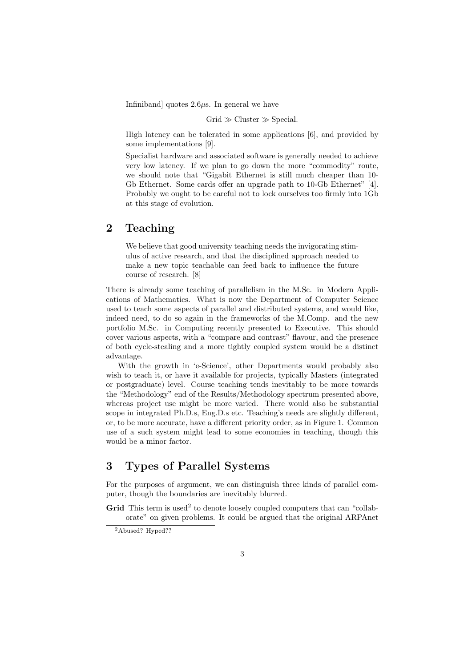Infiniband] quotes  $2.6\mu s$ . In general we have

$$
Grid \gg Cluster \gg Special.
$$

High latency can be tolerated in some applications [6], and provided by some implementations [9].

Specialist hardware and associated software is generally needed to achieve very low latency. If we plan to go down the more "commodity" route, we should note that "Gigabit Ethernet is still much cheaper than 10- Gb Ethernet. Some cards offer an upgrade path to 10-Gb Ethernet" [4]. Probably we ought to be careful not to lock ourselves too firmly into 1Gb at this stage of evolution.

### 2 Teaching

We believe that good university teaching needs the invigorating stimulus of active research, and that the disciplined approach needed to make a new topic teachable can feed back to influence the future course of research. [8]

There is already some teaching of parallelism in the M.Sc. in Modern Applications of Mathematics. What is now the Department of Computer Science used to teach some aspects of parallel and distributed systems, and would like, indeed need, to do so again in the frameworks of the M.Comp. and the new portfolio M.Sc. in Computing recently presented to Executive. This should cover various aspects, with a "compare and contrast" flavour, and the presence of both cycle-stealing and a more tightly coupled system would be a distinct advantage.

With the growth in 'e-Science', other Departments would probably also wish to teach it, or have it available for projects, typically Masters (integrated or postgraduate) level. Course teaching tends inevitably to be more towards the "Methodology" end of the Results/Methodology spectrum presented above, whereas project use might be more varied. There would also be substantial scope in integrated Ph.D.s, Eng.D.s etc. Teaching's needs are slightly different, or, to be more accurate, have a different priority order, as in Figure 1. Common use of a such system might lead to some economies in teaching, though this would be a minor factor.

# 3 Types of Parallel Systems

For the purposes of argument, we can distinguish three kinds of parallel computer, though the boundaries are inevitably blurred.

Grid This term is used<sup>2</sup> to denote loosely coupled computers that can "collaborate" on given problems. It could be argued that the original ARPAnet

<sup>2</sup>Abused? Hyped??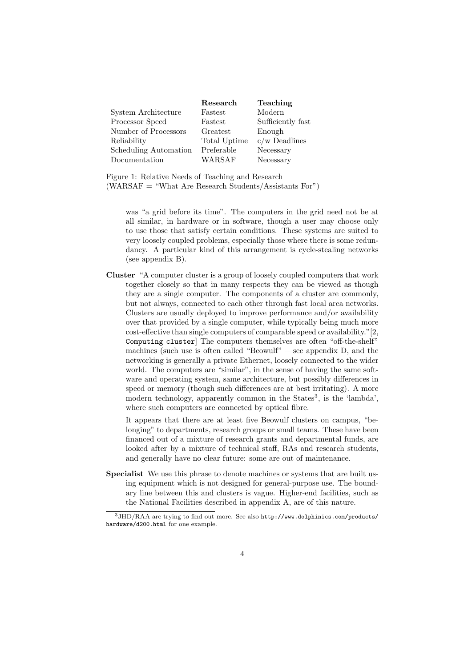|                       | Research     | Teaching          |
|-----------------------|--------------|-------------------|
| System Architecture   | Fastest      | Modern            |
| Processor Speed       | Fastest      | Sufficiently fast |
| Number of Processors  | Greatest     | Enough            |
| Reliability           | Total Uptime | $c/w$ Deadlines   |
| Scheduling Automation | Preferable   | Necessary         |
| Documentation         | WARSAF       | Necessary         |

Figure 1: Relative Needs of Teaching and Research  $(WARSAF = "What Are Research Students/Assistants For")$ 

was "a grid before its time". The computers in the grid need not be at all similar, in hardware or in software, though a user may choose only to use those that satisfy certain conditions. These systems are suited to very loosely coupled problems, especially those where there is some redundancy. A particular kind of this arrangement is cycle-stealing networks (see appendix B).

Cluster "A computer cluster is a group of loosely coupled computers that work together closely so that in many respects they can be viewed as though they are a single computer. The components of a cluster are commonly, but not always, connected to each other through fast local area networks. Clusters are usually deployed to improve performance and/or availability over that provided by a single computer, while typically being much more cost-effective than single computers of comparable speed or availability."[2, Computing cluster] The computers themselves are often "off-the-shelf" machines (such use is often called "Beowulf" —see appendix D, and the networking is generally a private Ethernet, loosely connected to the wider world. The computers are "similar", in the sense of having the same software and operating system, same architecture, but possibly differences in speed or memory (though such differences are at best irritating). A more modern technology, apparently common in the States<sup>3</sup>, is the 'lambda', where such computers are connected by optical fibre.

It appears that there are at least five Beowulf clusters on campus, "belonging" to departments, research groups or small teams. These have been financed out of a mixture of research grants and departmental funds, are looked after by a mixture of technical staff, RAs and research students, and generally have no clear future: some are out of maintenance.

Specialist We use this phrase to denote machines or systems that are built using equipment which is not designed for general-purpose use. The boundary line between this and clusters is vague. Higher-end facilities, such as the National Facilities described in appendix A, are of this nature.

<sup>3</sup>JHD/RAA are trying to find out more. See also http://www.dolphinics.com/products/ hardware/d200.html for one example.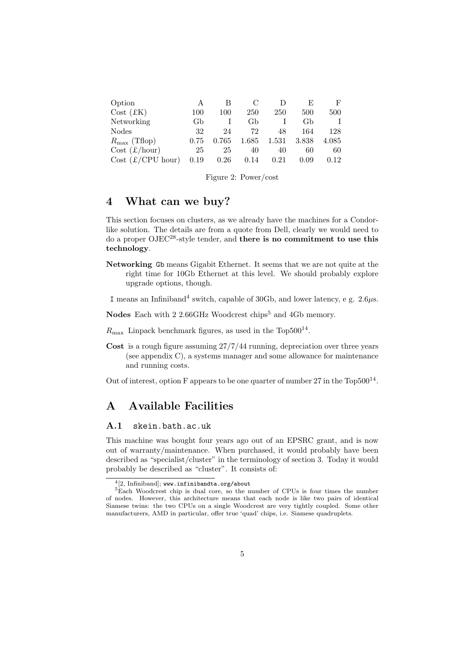| Option                   |      | В     |       |       |       | F     |
|--------------------------|------|-------|-------|-------|-------|-------|
| Cost (EK)                | 100  | 100   | 250   | 250   | 500   | 500   |
| Networking               | Gb   |       | Gb    |       | Gb    | T     |
| <b>Nodes</b>             | 32   | 24    | 72    | 48    | 164   | 128   |
| $R_{\text{max}}$ (Tflop) | 0.75 | 0.765 | 1.685 | 1.531 | 3.838 | 4.085 |
| $Cost (\pounds/hour)$    | 25   | 25    | 40    | 40    | 60    | 60    |
| Cost (£/CPU hour)        | 0.19 | 0.26  | 0.14  | 0.21  | 0.09  | 0.12  |

|  |  |  | Figure 2: Power/cost |  |
|--|--|--|----------------------|--|
|--|--|--|----------------------|--|

### 4 What can we buy?

This section focuses on clusters, as we already have the machines for a Condorlike solution. The details are from a quote from Dell, clearly we would need to do a proper OJEC28-style tender, and there is no commitment to use this technology.

Networking Gb means Gigabit Ethernet. It seems that we are not quite at the right time for 10Gb Ethernet at this level. We should probably explore upgrade options, though.

I means an Infiniband<sup>4</sup> switch, capable of 30Gb, and lower latency, e g.  $2.6\mu s$ .

Nodes Each with 2 2.66GHz Woodcrest chips<sup>5</sup> and 4Gb memory.

- $R_{\text{max}}$  Linpack benchmark figures, as used in the Top500<sup>14</sup>.
- Cost is a rough figure assuming 27/7/44 running, depreciation over three years (see appendix C), a systems manager and some allowance for maintenance and running costs.

Out of interest, option F appears to be one quarter of number  $27$  in the Top500<sup>14</sup>.

# A Available Facilities

#### A.1 skein.bath.ac.uk

This machine was bought four years ago out of an EPSRC grant, and is now out of warranty/maintenance. When purchased, it would probably have been described as "specialist/cluster" in the terminology of section 3. Today it would probably be described as "cluster". It consists of:

<sup>4</sup> [2, Infiniband]; www.infinibandta.org/about

<sup>&</sup>lt;sup>5</sup>Each Woodcrest chip is dual core, so the number of CPUs is four times the number of nodes. However, this architecture means that each node is like two pairs of identical Siamese twins: the two CPUs on a single Woodcrest are very tightly coupled. Some other manufacturers, AMD in particular, offer true 'quad' chips, i.e. Siamese quadruplets.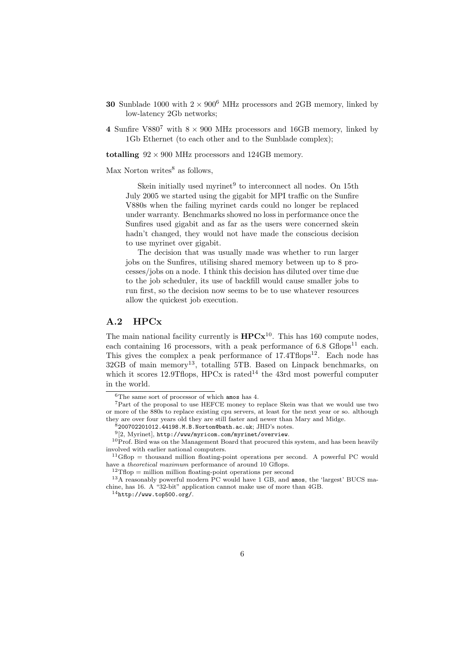- 30 Sunblade 1000 with  $2 \times 900^6$  MHz processors and 2GB memory, linked by low-latency 2Gb networks;
- 4 Sunfire V880<sup>7</sup> with  $8 \times 900$  MHz processors and 16GB memory, linked by 1Gb Ethernet (to each other and to the Sunblade complex);

totalling  $92 \times 900$  MHz processors and 124GB memory.

 $Max$  Norton writes<sup>8</sup> as follows.

Skein initially used myrinet $9$  to interconnect all nodes. On 15th July 2005 we started using the gigabit for MPI traffic on the Sunfire V880s when the failing myrinet cards could no longer be replaced under warranty. Benchmarks showed no loss in performance once the Sunfires used gigabit and as far as the users were concerned skein hadn't changed, they would not have made the conscious decision to use myrinet over gigabit.

The decision that was usually made was whether to run larger jobs on the Sunfires, utilising shared memory between up to 8 processes/jobs on a node. I think this decision has diluted over time due to the job scheduler, its use of backfill would cause smaller jobs to run first, so the decision now seems to be to use whatever resources allow the quickest job execution.

#### A.2 HPCx

The main national facility currently is  $HPCx^{10}$ . This has 160 compute nodes, each containing 16 processors, with a peak performance of  $6.8 \text{ Gflops}^{11}$  each. This gives the complex a peak performance of  $17.4$ Tflops<sup>12</sup>. Each node has  $32GB$  of main memory<sup>13</sup>, totalling 5TB. Based on Linpack benchmarks, on which it scores 12.9Thops, HPCx is rated<sup>14</sup> the 43rd most powerful computer in the world.

<sup>6</sup>The same sort of processor of which amos has 4.

<sup>7</sup>Part of the proposal to use HEFCE money to replace Skein was that we would use two or more of the 880s to replace existing cpu servers, at least for the next year or so. although they are over four years old they are still faster and newer than Mary and Midge.

 $8200702201012.44198. M.B.Norton@bath.ac.uk; JHD's notes.$ 

<sup>9</sup> [2, Myrinet], http://www/myricom.com/myrinet/overview.

 $10$ Prof. Bird was on the Management Board that procured this system, and has been heavily involved with earlier national computers.

 $11$ Gflop = thousand million floating-point operations per second. A powerful PC would have a *theoretical maximum* performance of around 10 Gflops.

 ${}^{2}T$ flop = million million floating-point operations per second

<sup>13</sup>A reasonably powerful modern PC would have 1 GB, and amos, the 'largest' BUCS machine, has 16. A "32-bit" application cannot make use of more than 4GB.

 $14$ http://www.top500.org/.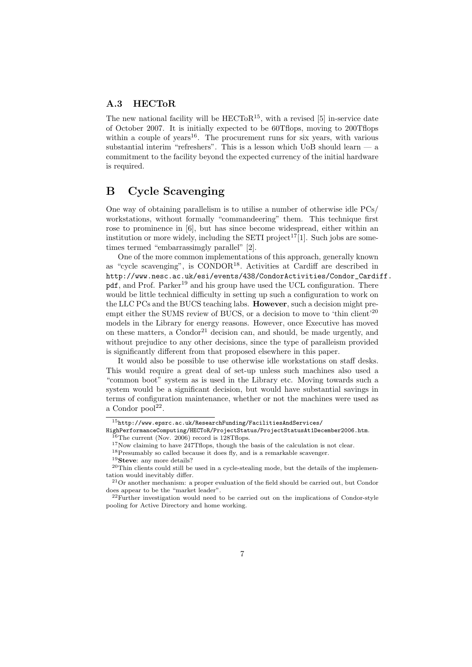#### A.3 HECToR

The new national facility will be  $HECToR^{15}$ , with a revised [5] in-service date of October 2007. It is initially expected to be 60Tflops, moving to 200Tflops within a couple of years<sup>16</sup>. The procurement runs for six years, with various substantial interim "refreshers". This is a lesson which UoB should learn  $-$  a commitment to the facility beyond the expected currency of the initial hardware is required.

# B Cycle Scavenging

One way of obtaining parallelism is to utilise a number of otherwise idle PCs/ workstations, without formally "commandeering" them. This technique first rose to prominence in [6], but has since become widespread, either within an institution or more widely, including the SETI project<sup>17</sup>[1]. Such jobs are sometimes termed "embarrassimgly parallel" [2].

One of the more common implementations of this approach, generally known as "cycle scavenging", is CONDOR18. Activities at Cardiff are described in http://www.nesc.ac.uk/esi/events/438/CondorActivities/Condor\_Cardiff. pdf, and Prof. Parker<sup>19</sup> and his group have used the UCL configuration. There would be little technical difficulty in setting up such a configuration to work on the LLC PCs and the BUCS teaching labs. However, such a decision might preempt either the SUMS review of BUCS, or a decision to move to 'thin client'<sup>20</sup> models in the Library for energy reasons. However, once Executive has moved on these matters, a  $Condor<sup>21</sup>$  decision can, and should, be made urgently, and without prejudice to any other decisions, since the type of paralleism provided is significantly different from that proposed elsewhere in this paper.

It would also be possible to use otherwise idle workstations on staff desks. This would require a great deal of set-up unless such machines also used a "common boot" system as is used in the Library etc. Moving towards such a system would be a significant decision, but would have substantial savings in terms of configuration maintenance, whether or not the machines were used as a Condor  $\text{pool}^{22}$ .

<sup>18</sup>Presumably so called because it does fly, and is a remarkable scavenger.

 $15$ http://www.epsrc.ac.uk/ResearchFunding/FacilitiesAndServices/

HighPerformanceComputing/HECToR/ProjectStatus/ProjectStatusAt1December2006.htm.  $^{16}$ The current (Nov. 2006) record is 128Tflops.

<sup>&</sup>lt;sup>17</sup>Now claiming to have 247Tflops, though the basis of the calculation is not clear.

<sup>19</sup>Steve: any more details?

 $20$ Thin clients could still be used in a cycle-stealing mode, but the details of the implementation would inevitably differ.

<sup>21</sup>Or another mechanism: a proper evaluation of the field should be carried out, but Condor does appear to be the "market leader".

 $22$ Further investigation would need to be carried out on the implications of Condor-style pooling for Active Directory and home working.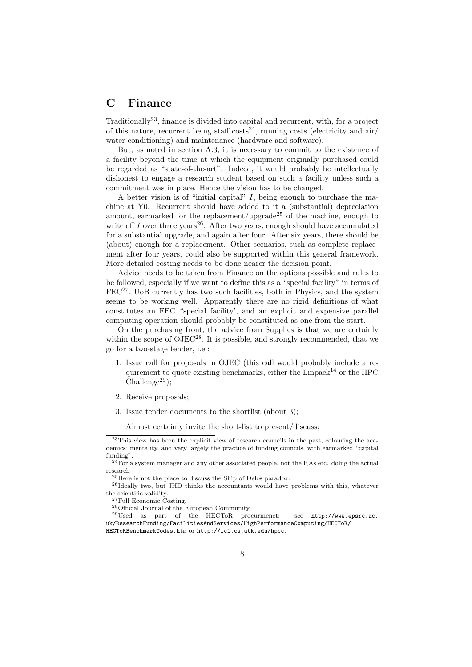### C Finance

Traditionally23, finance is divided into capital and recurrent, with, for a project of this nature, recurrent being staff  $\cos^{-24}$ , running costs (electricity and air/ water conditioning) and maintenance (hardware and software).

But, as noted in section A.3, it is necessary to commit to the existence of a facility beyond the time at which the equipment originally purchased could be regarded as "state-of-the-art". Indeed, it would probably be intellectually dishonest to engage a research student based on such a facility unless such a commitment was in place. Hence the vision has to be changed.

A better vision is of "initial capital"  $I$ , being enough to purchase the machine at Y0. Recurrent should have added to it a (substantial) depreciation amount, earmarked for the replacement/upgrade<sup>25</sup> of the machine, enough to write off I over three years<sup>26</sup>. After two years, enough should have accumulated for a substantial upgrade, and again after four. After six years, there should be (about) enough for a replacement. Other scenarios, such as complete replacement after four years, could also be supported within this general framework. More detailed costing needs to be done nearer the decision point.

Advice needs to be taken from Finance on the options possible and rules to be followed, especially if we want to define this as a "special facility" in terms of  $FEC^{27}$ . UoB currently has two such facilities, both in Physics, and the system seems to be working well. Apparently there are no rigid definitions of what constitutes an FEC "special facility', and an explicit and expensive parallel computing operation should probably be constituted as one from the start.

On the purchasing front, the advice from Supplies is that we are certainly within the scope of OJEC<sup>28</sup>. It is possible, and strongly recommended, that we go for a two-stage tender, i.e.:

- 1. Issue call for proposals in OJEC (this call would probably include a requirement to quote existing benchmarks, either the Linpack<sup>14</sup> or the HPC  $Challenge<sup>29</sup>)$ :
- 2. Receive proposals;
- 3. Issue tender documents to the shortlist (about 3);

Almost certainly invite the short-list to present/discuss;

<sup>23</sup>This view has been the explicit view of research councils in the past, colouring the academics' mentality, and very largely the practice of funding councils, with earmarked "capital funding".

 $^{24}$ For a system manager and any other associated people, not the RAs etc. doing the actual research

<sup>25</sup>Here is not the place to discuss the Ship of Delos paradox.

<sup>26</sup>Ideally two, but JHD thinks the accountants would have problems with this, whatever the scientific validity.

<sup>27</sup>Full Economic Costing.

<sup>28</sup>Official Journal of the European Community.

<sup>29</sup>Used as part of the HECToR procurmenet: see http://www.epsrc.ac. uk/ResearchFunding/FacilitiesAndServices/HighPerformanceComputing/HECToR/ HECToRBenchmarkCodes.htm or http://icl.cs.utk.edu/hpcc.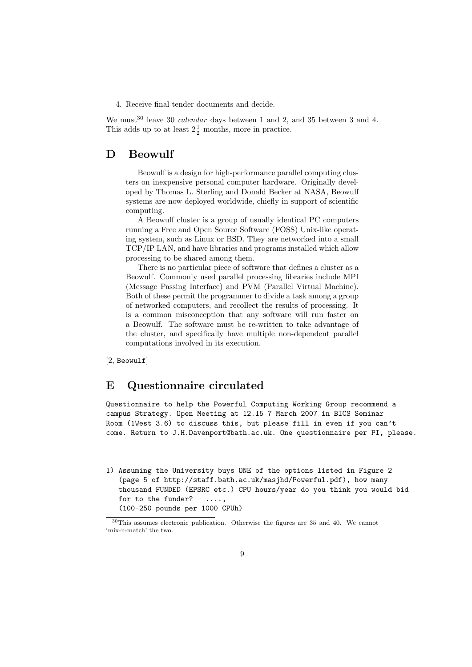4. Receive final tender documents and decide.

We must<sup>30</sup> leave 30 *calendar* days between 1 and 2, and 35 between 3 and 4. This adds up to at least  $2\frac{1}{2}$  months, more in practice.

# D Beowulf

Beowulf is a design for high-performance parallel computing clusters on inexpensive personal computer hardware. Originally developed by Thomas L. Sterling and Donald Becker at NASA, Beowulf systems are now deployed worldwide, chiefly in support of scientific computing.

A Beowulf cluster is a group of usually identical PC computers running a Free and Open Source Software (FOSS) Unix-like operating system, such as Linux or BSD. They are networked into a small TCP/IP LAN, and have libraries and programs installed which allow processing to be shared among them.

There is no particular piece of software that defines a cluster as a Beowulf. Commonly used parallel processing libraries include MPI (Message Passing Interface) and PVM (Parallel Virtual Machine). Both of these permit the programmer to divide a task among a group of networked computers, and recollect the results of processing. It is a common misconception that any software will run faster on a Beowulf. The software must be re-written to take advantage of the cluster, and specifically have multiple non-dependent parallel computations involved in its execution.

[2, Beowulf]

### E Questionnaire circulated

Questionnaire to help the Powerful Computing Working Group recommend a campus Strategy. Open Meeting at 12.15 7 March 2007 in BICS Seminar Room (1West 3.6) to discuss this, but please fill in even if you can't come. Return to J.H.Davenport@bath.ac.uk. One questionnaire per PI, please.

1) Assuming the University buys ONE of the options listed in Figure 2 (page 5 of http://staff.bath.ac.uk/masjhd/Powerful.pdf), how many thousand FUNDED (EPSRC etc.) CPU hours/year do you think you would bid for to the funder? ....

<sup>(100-250</sup> pounds per 1000 CPUh)

<sup>30</sup>This assumes electronic publication. Otherwise the figures are 35 and 40. We cannot 'mix-n-match' the two.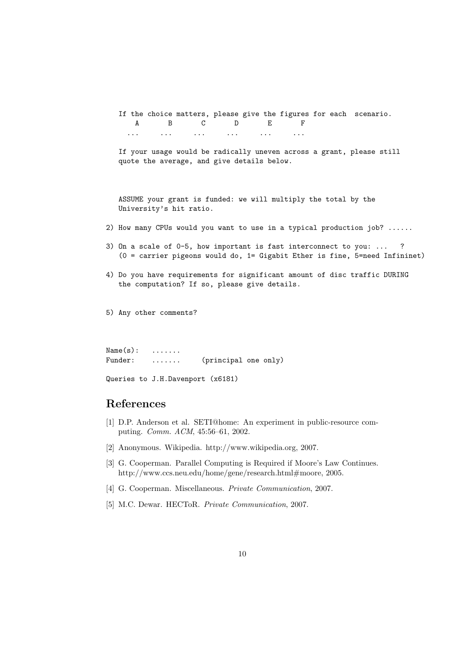If the choice matters, please give the figures for each scenario. A B C D E F ... ... ... ... ... ...

If your usage would be radically uneven across a grant, please still quote the average, and give details below.

ASSUME your grant is funded: we will multiply the total by the University's hit ratio.

- 2) How many CPUs would you want to use in a typical production job? ......
- 3) On a scale of 0-5, how important is fast interconnect to you: ... ? (0 = carrier pigeons would do, 1= Gigabit Ether is fine, 5=need Infininet)
- 4) Do you have requirements for significant amount of disc traffic DURING the computation? If so, please give details.

5) Any other comments?

 $Name(s): \dots \dots$ Funder: ....... (principal one only)

```
Queries to J.H.Davenport (x6181)
```
### References

- [1] D.P. Anderson et al. SETI@home: An experiment in public-resource computing. Comm. ACM, 45:56–61, 2002.
- [2] Anonymous. Wikipedia. http://www.wikipedia.org, 2007.
- [3] G. Cooperman. Parallel Computing is Required if Moore's Law Continues. http://www.ccs.neu.edu/home/gene/research.html#moore, 2005.
- [4] G. Cooperman. Miscellaneous. Private Communication, 2007.
- [5] M.C. Dewar. HECToR. Private Communication, 2007.